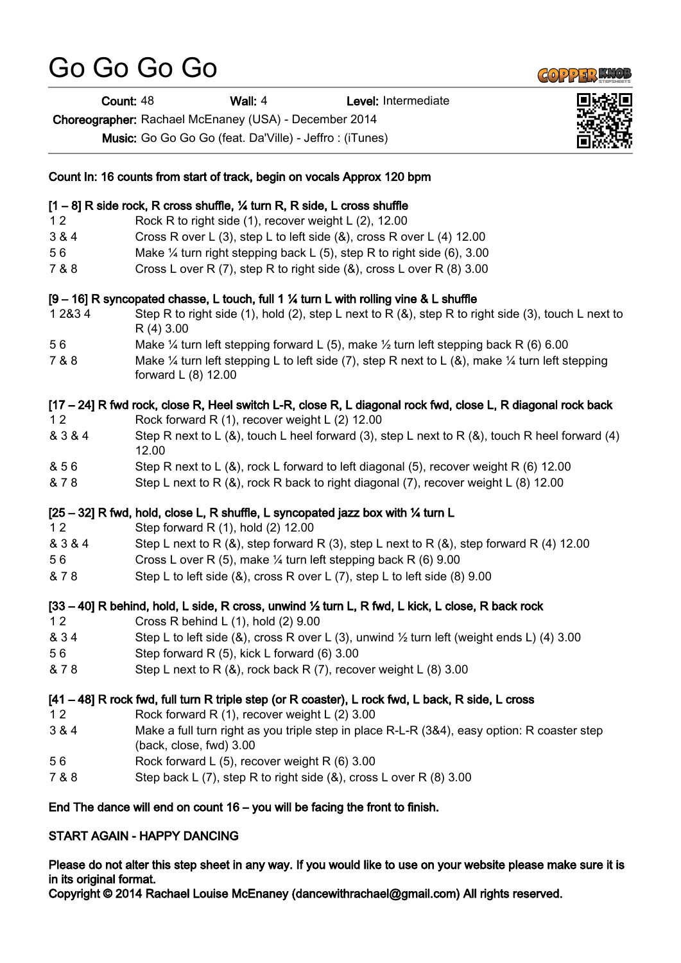## Go Go Go Go

Count: 48 Wall: 4 Level: Intermediate

Choreographer: Rachael McEnaney (USA) - December 2014

Music: Go Go Go Go (feat. Da'Ville) - Jeffro : (iTunes)

| Count In: 16 counts from start of track, begin on vocals Approx 120 bpm        |                                                                                                                                              |
|--------------------------------------------------------------------------------|----------------------------------------------------------------------------------------------------------------------------------------------|
|                                                                                | [1 - 8] R side rock, R cross shuffle, 1/4 turn R, R side, L cross shuffle                                                                    |
| 12                                                                             | Rock R to right side (1), recover weight L (2), 12.00                                                                                        |
| 3 & 4                                                                          | Cross R over L (3), step L to left side (&), cross R over L (4) 12.00                                                                        |
| 56                                                                             | Make $\frac{1}{4}$ turn right stepping back L (5), step R to right side (6), 3.00                                                            |
| 7 & 8                                                                          | Cross L over R (7), step R to right side (&), cross L over R (8) 3.00                                                                        |
|                                                                                | [9 - 16] R syncopated chasse, L touch, full 1 % turn L with rolling vine & L shuffle                                                         |
| 1 2 & 3 4                                                                      | Step R to right side (1), hold (2), step L next to R ( $\&$ ), step R to right side (3), touch L next to<br>R(4)3.00                         |
| 56                                                                             | Make $\frac{1}{4}$ turn left stepping forward L (5), make $\frac{1}{2}$ turn left stepping back R (6) 6.00                                   |
| 7 & 8                                                                          | Make $\frac{1}{4}$ turn left stepping L to left side (7), step R next to L (&), make $\frac{1}{4}$ turn left stepping<br>forward L (8) 12.00 |
|                                                                                | [17 - 24] R fwd rock, close R, Heel switch L-R, close R, L diagonal rock fwd, close L, R diagonal rock back                                  |
| 12                                                                             | Rock forward R (1), recover weight L (2) 12.00                                                                                               |
| & 3 & 4                                                                        | Step R next to L (&), touch L heel forward (3), step L next to R (&), touch R heel forward (4)<br>12.00                                      |
| & 56                                                                           | Step R next to L $(8)$ , rock L forward to left diagonal (5), recover weight R $(6)$ 12.00                                                   |
| & 78                                                                           | Step L next to R (&), rock R back to right diagonal (7), recover weight L (8) 12.00                                                          |
|                                                                                | [25 - 32] R fwd, hold, close L, R shuffle, L syncopated jazz box with 1/4 turn L                                                             |
| 12                                                                             | Step forward R (1), hold (2) 12.00                                                                                                           |
| & 3 & 4                                                                        | Step L next to R $(8)$ , step forward R $(3)$ , step L next to R $(8)$ , step forward R $(4)$ 12.00                                          |
| 56                                                                             | Cross L over R (5), make 1/4 turn left stepping back R (6) 9.00                                                                              |
| & 78                                                                           | Step L to left side (&), cross R over L (7), step L to left side (8) 9.00                                                                    |
|                                                                                | [33 – 40] R behind, hold, L side, R cross, unwind 1/2 turn L, R fwd, L kick, L close, R back rock                                            |
| 12                                                                             | Cross R behind L $(1)$ , hold $(2)$ 9.00                                                                                                     |
| & 34                                                                           | Step L to left side (&), cross R over L (3), unwind 1/2 turn left (weight ends L) (4) 3.00                                                   |
| 56                                                                             | Step forward R (5), kick L forward (6) 3.00                                                                                                  |
| & 78                                                                           | Step L next to R $(8)$ , rock back R $(7)$ , recover weight L $(8)$ 3.00                                                                     |
|                                                                                | [41 – 48] R rock fwd, full turn R triple step (or R coaster), L rock fwd, L back, R side, L cross                                            |
| 12                                                                             | Rock forward R (1), recover weight L (2) 3.00                                                                                                |
| 3 & 4                                                                          | Make a full turn right as you triple step in place R-L-R (3&4), easy option: R coaster step<br>(back, close, fwd) 3.00                       |
| 56                                                                             | Rock forward L (5), recover weight R (6) 3.00                                                                                                |
| 7 & 8                                                                          | Step back L $(7)$ , step R to right side $(8)$ , cross L over R $(8)$ 3.00                                                                   |
| End The dance will end on count $16 -$ you will be facing the front to finish. |                                                                                                                                              |
| START AGAIN - HAPPY DANCING                                                    |                                                                                                                                              |

## Please do not alter this step sheet in any way. If you would like to use on your website please make sure it is in its original format.

Copyright © 2014 Rachael Louise McEnaney (dancewithrachael@gmail.com) All rights reserved.